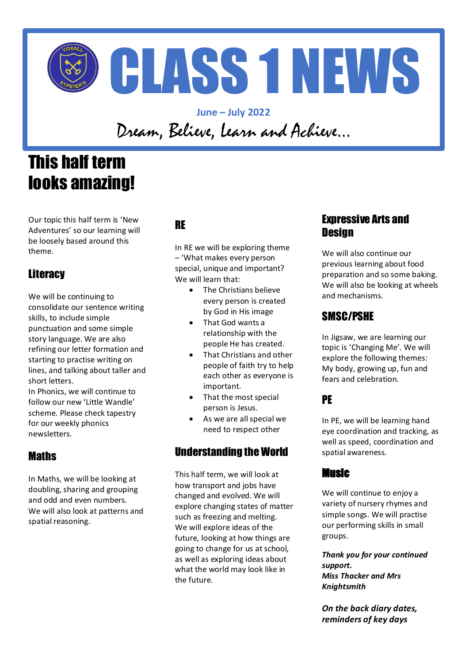

**June – July 2022** Dream, Believe, Learn and Achieve…

# This half term looks amazing!

Our topic this half term is 'New Adventures' so our learning will be loosely based around this theme.

# **Literacy**

We will be continuing to consolidate our sentence writing skills, to include simple punctuation and some simple story language. We are also refining our letter formation and starting to practise writing on lines, and talking about taller and short letters.

In Phonics, we will continue to follow our new 'Little Wandle' scheme. Please check tapestry for our weekly phonics newsletters.

### **Maths**

In Maths, we will be looking at doubling, sharing and grouping and odd and even numbers. We will also look at patterns and spatial reasoning.

# RE

In RE we will be exploring theme – 'What makes every person special, unique and important? We will learn that:

- The Christians believe every person is created by God in His image
- That God wants a relationship with the people He has created.
- That Christians and other people of faith try to help each other as everyone is important.
- That the most special person is Jesus.
- As we are all special we need to respect other

# Understanding the World

This half term, we will look at how transport and jobs have changed and evolved. We will explore changing states of matter such as freezing and melting. We will explore ideas of the future, looking at how things are going to change for us at school, as well as exploring ideas about what the world may look like in the future.

### Expressive Arts and **Design**

We will also continue our previous learning about food preparation and so some baking. We will also be looking at wheels and mechanisms.

## SMSC/PSHE

In Jigsaw, we are learning our topic is 'Changing Me'. We will explore the following themes: My body, growing up, fun and fears and celebration.

# PE

In PE, we will be learning hand eye coordination and tracking, as well as speed, coordination and spatial awareness.

#### Music

We will continue to enjoy a variety of nursery rhymes and simple songs. We will practise our performing skills in small groups.

*Thank you for your continued support. Miss Thacker and Mrs Knightsmith*

*On the back diary dates, reminders of key days*